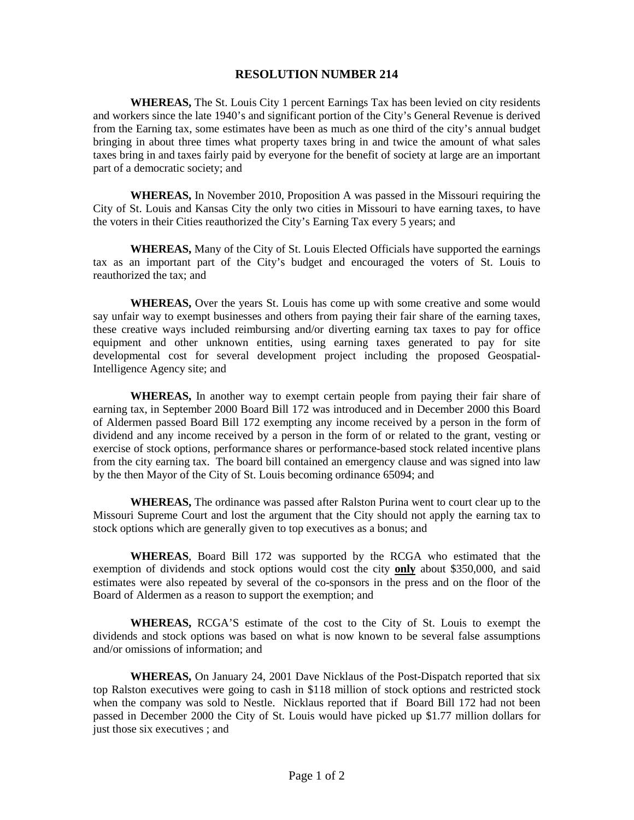## **RESOLUTION NUMBER 214**

**WHEREAS,** The St. Louis City 1 percent Earnings Tax has been levied on city residents and workers since the late 1940's and significant portion of the City's General Revenue is derived from the Earning tax, some estimates have been as much as one third of the city's annual budget bringing in about three times what property taxes bring in and twice the amount of what sales taxes bring in and taxes fairly paid by everyone for the benefit of society at large are an important part of a democratic society; and

**WHEREAS,** In November 2010, Proposition A was passed in the Missouri requiring the City of St. Louis and Kansas City the only two cities in Missouri to have earning taxes, to have the voters in their Cities reauthorized the City's Earning Tax every 5 years; and

**WHEREAS,** Many of the City of St. Louis Elected Officials have supported the earnings tax as an important part of the City's budget and encouraged the voters of St. Louis to reauthorized the tax; and

**WHEREAS,** Over the years St. Louis has come up with some creative and some would say unfair way to exempt businesses and others from paying their fair share of the earning taxes, these creative ways included reimbursing and/or diverting earning tax taxes to pay for office equipment and other unknown entities, using earning taxes generated to pay for site developmental cost for several development project including the proposed Geospatial-Intelligence Agency site; and

**WHEREAS,** In another way to exempt certain people from paying their fair share of earning tax, in September 2000 Board Bill 172 was introduced and in December 2000 this Board of Aldermen passed Board Bill 172 exempting any income received by a person in the form of dividend and any income received by a person in the form of or related to the grant, vesting or exercise of stock options, performance shares or performance-based stock related incentive plans from the city earning tax. The board bill contained an emergency clause and was signed into law by the then Mayor of the City of St. Louis becoming ordinance 65094; and

**WHEREAS,** The ordinance was passed after Ralston Purina went to court clear up to the Missouri Supreme Court and lost the argument that the City should not apply the earning tax to stock options which are generally given to top executives as a bonus; and

**WHEREAS**, Board Bill 172 was supported by the RCGA who estimated that the exemption of dividends and stock options would cost the city **only** about \$350,000, and said estimates were also repeated by several of the co-sponsors in the press and on the floor of the Board of Aldermen as a reason to support the exemption; and

**WHEREAS,** RCGA'S estimate of the cost to the City of St. Louis to exempt the dividends and stock options was based on what is now known to be several false assumptions and/or omissions of information; and

**WHEREAS,** On January 24, 2001 Dave Nicklaus of the Post-Dispatch reported that six top Ralston executives were going to cash in \$118 million of stock options and restricted stock when the company was sold to Nestle. Nicklaus reported that if Board Bill 172 had not been passed in December 2000 the City of St. Louis would have picked up \$1.77 million dollars for just those six executives ; and